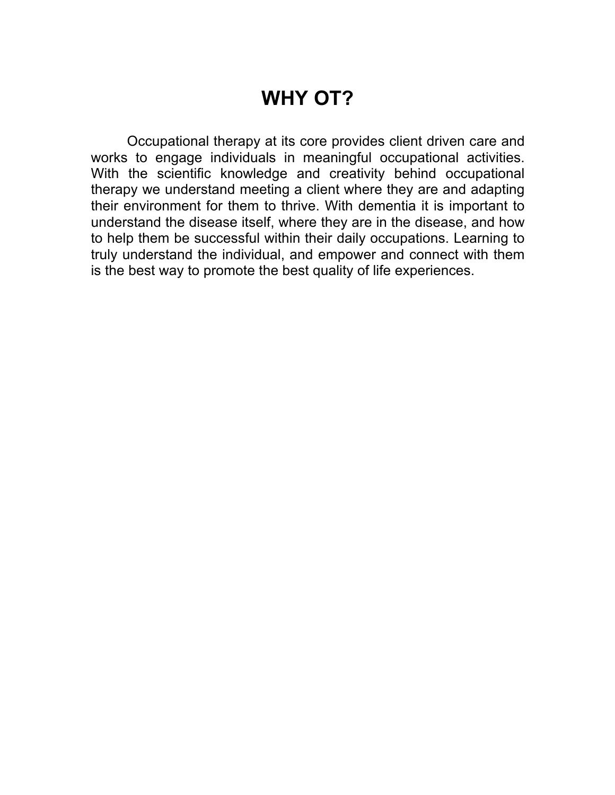# **WHY OT?**

Occupational therapy at its core provides client driven care and works to engage individuals in meaningful occupational activities. With the scientific knowledge and creativity behind occupational therapy we understand meeting a client where they are and adapting their environment for them to thrive. With dementia it is important to understand the disease itself, where they are in the disease, and how to help them be successful within their daily occupations. Learning to truly understand the individual, and empower and connect with them is the best way to promote the best quality of life experiences.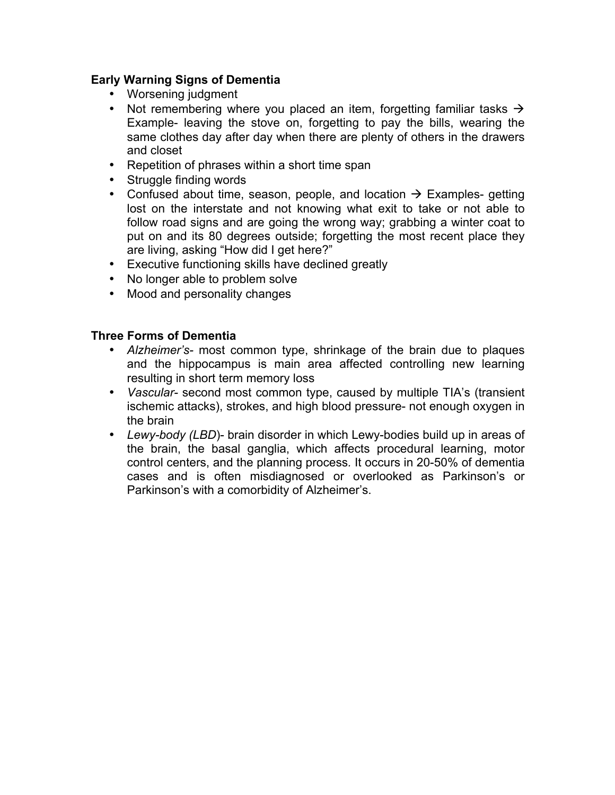### **Early Warning Signs of Dementia**

- Worsening judgment
- Not remembering where you placed an item, forgetting familiar tasks  $\rightarrow$ Example- leaving the stove on, forgetting to pay the bills, wearing the same clothes day after day when there are plenty of others in the drawers and closet
- Repetition of phrases within a short time span
- Struggle finding words
- Confused about time, season, people, and location  $\rightarrow$  Examples- getting lost on the interstate and not knowing what exit to take or not able to follow road signs and are going the wrong way; grabbing a winter coat to put on and its 80 degrees outside; forgetting the most recent place they are living, asking "How did I get here?"
- Executive functioning skills have declined greatly
- No longer able to problem solve
- Mood and personality changes

#### **Three Forms of Dementia**

- *Alzheimer's-* most common type, shrinkage of the brain due to plaques and the hippocampus is main area affected controlling new learning resulting in short term memory loss
- *Vascular-* second most common type, caused by multiple TIA's (transient ischemic attacks), strokes, and high blood pressure- not enough oxygen in the brain
- *Lewy-body (LBD*)- brain disorder in which Lewy-bodies build up in areas of the brain, the basal ganglia, which affects procedural learning, motor control centers, and the planning process*.* It occurs in 20-50% of dementia cases and is often misdiagnosed or overlooked as Parkinson's or Parkinson's with a comorbidity of Alzheimer's.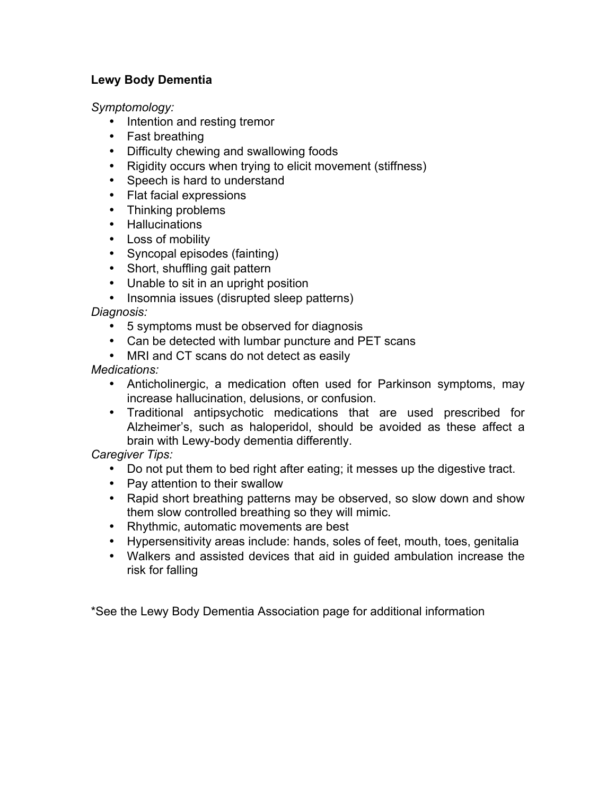## **Lewy Body Dementia**

*Symptomology:* 

- Intention and resting tremor
- Fast breathing
- Difficulty chewing and swallowing foods
- Rigidity occurs when trying to elicit movement (stiffness)
- Speech is hard to understand
- Flat facial expressions
- Thinking problems
- Hallucinations
- Loss of mobility
- Syncopal episodes (fainting)
- Short, shuffling gait pattern
- Unable to sit in an upright position
- Insomnia issues (disrupted sleep patterns)

*Diagnosis:* 

- 5 symptoms must be observed for diagnosis
- Can be detected with lumbar puncture and PET scans
- MRI and CT scans do not detect as easily

*Medications:* 

- Anticholinergic, a medication often used for Parkinson symptoms, may increase hallucination, delusions, or confusion.
- Traditional antipsychotic medications that are used prescribed for Alzheimer's, such as haloperidol, should be avoided as these affect a brain with Lewy-body dementia differently.

## *Caregiver Tips:*

- Do not put them to bed right after eating; it messes up the digestive tract.
- Pay attention to their swallow
- Rapid short breathing patterns may be observed, so slow down and show them slow controlled breathing so they will mimic.
- Rhythmic, automatic movements are best
- Hypersensitivity areas include: hands, soles of feet, mouth, toes, genitalia
- Walkers and assisted devices that aid in guided ambulation increase the risk for falling

\*See the Lewy Body Dementia Association page for additional information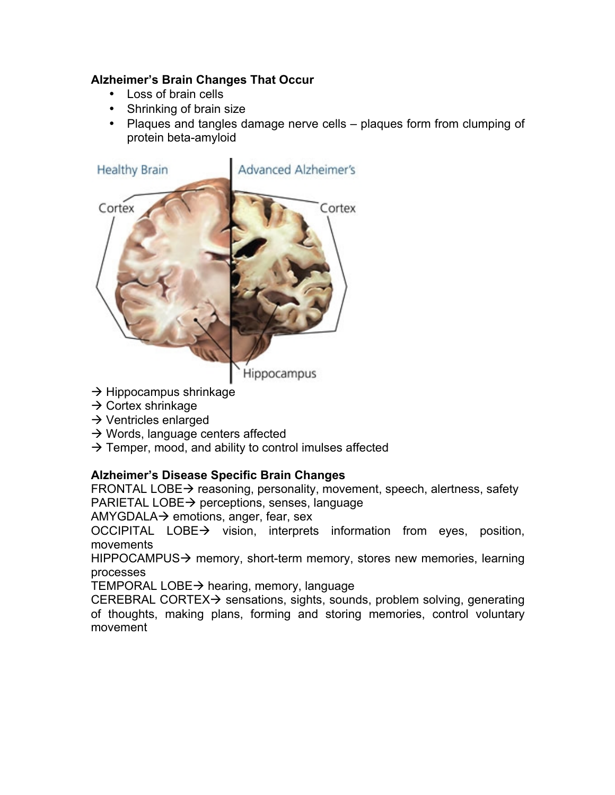## **Alzheimer's Brain Changes That Occur**

- Loss of brain cells
- Shrinking of brain size
- Plaques and tangles damage nerve cells plaques form from clumping of protein beta-amyloid



- $\rightarrow$  Hippocampus shrinkage
- $\rightarrow$  Cortex shrinkage
- $\rightarrow$  Ventricles enlarged
- $\rightarrow$  Words, language centers affected
- $\rightarrow$  Temper, mood, and ability to control imulses affected

## **Alzheimer's Disease Specific Brain Changes**

FRONTAL LOBE $\rightarrow$  reasoning, personality, movement, speech, alertness, safety PARIETAL LOBE $\rightarrow$  perceptions, senses, language

AMYGDALA $\rightarrow$  emotions, anger, fear, sex

OCCIPITAL LOBE $\rightarrow$  vision, interprets information from eyes, position, movements

HIPPOCAMPUS $\rightarrow$  memory, short-term memory, stores new memories, learning processes

TEMPORAL LOBE $\rightarrow$  hearing, memory, language

CEREBRAL CORTEX $\rightarrow$  sensations, sights, sounds, problem solving, generating of thoughts, making plans, forming and storing memories, control voluntary movement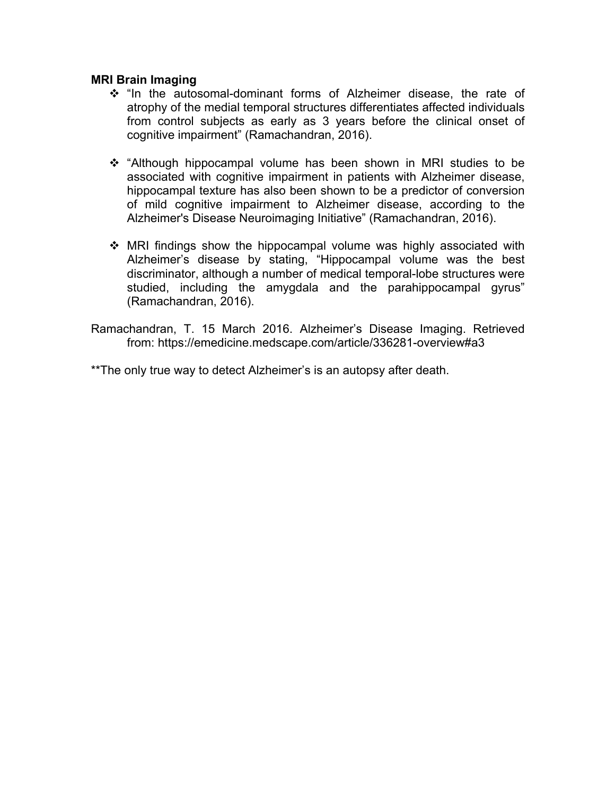#### **MRI Brain Imaging**

- $\div$  "In the autosomal-dominant forms of Alzheimer disease, the rate of atrophy of the medial temporal structures differentiates affected individuals from control subjects as early as 3 years before the clinical onset of cognitive impairment" (Ramachandran, 2016).
- "Although hippocampal volume has been shown in MRI studies to be associated with cognitive impairment in patients with Alzheimer disease, hippocampal texture has also been shown to be a predictor of conversion of mild cognitive impairment to Alzheimer disease, according to the Alzheimer's Disease Neuroimaging Initiative" (Ramachandran, 2016).
- \* MRI findings show the hippocampal volume was highly associated with Alzheimer's disease by stating, "Hippocampal volume was the best discriminator, although a number of medical temporal-lobe structures were studied, including the amygdala and the parahippocampal gyrus" (Ramachandran, 2016).
- Ramachandran, T. 15 March 2016. Alzheimer's Disease Imaging. Retrieved from: https://emedicine.medscape.com/article/336281-overview#a3

\*\*The only true way to detect Alzheimer's is an autopsy after death.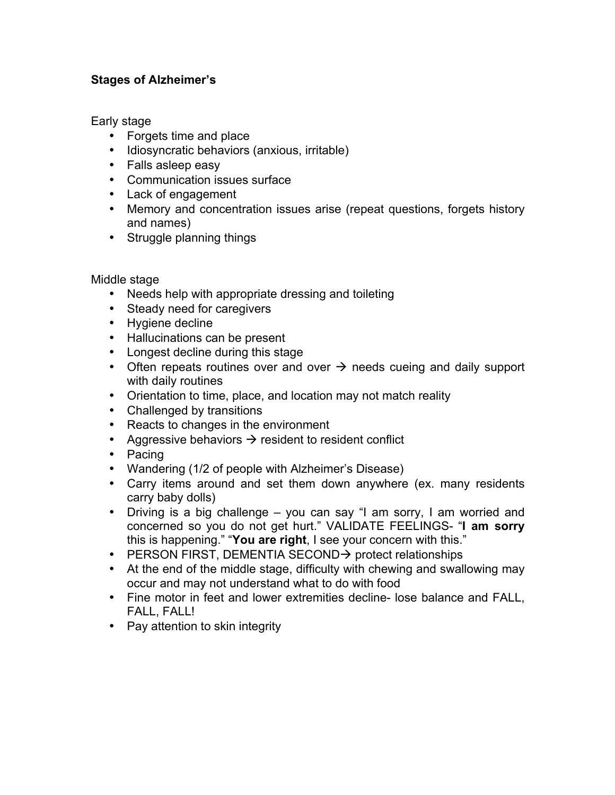## **Stages of Alzheimer's**

Early stage

- Forgets time and place
- Idiosyncratic behaviors (anxious, irritable)
- Falls asleep easy
- Communication issues surface
- Lack of engagement
- Memory and concentration issues arise (repeat questions, forgets history and names)
- Struggle planning things

Middle stage

- Needs help with appropriate dressing and toileting
- Steady need for caregivers
- Hygiene decline
- Hallucinations can be present
- Longest decline during this stage
- Often repeats routines over and over  $\rightarrow$  needs cueing and daily support with daily routines
- Orientation to time, place, and location may not match reality
- Challenged by transitions
- Reacts to changes in the environment
- Aggressive behaviors  $\rightarrow$  resident to resident conflict
- Pacing
- Wandering (1/2 of people with Alzheimer's Disease)
- Carry items around and set them down anywhere (ex. many residents carry baby dolls)
- Driving is a big challenge you can say "I am sorry, I am worried and concerned so you do not get hurt." VALIDATE FEELINGS- "**I am sorry** this is happening." "**You are right**, I see your concern with this."
- PERSON FIRST, DEMENTIA SECOND $\rightarrow$  protect relationships
- At the end of the middle stage, difficulty with chewing and swallowing may occur and may not understand what to do with food
- Fine motor in feet and lower extremities decline- lose balance and FALL, FALL, FALL!
- Pay attention to skin integrity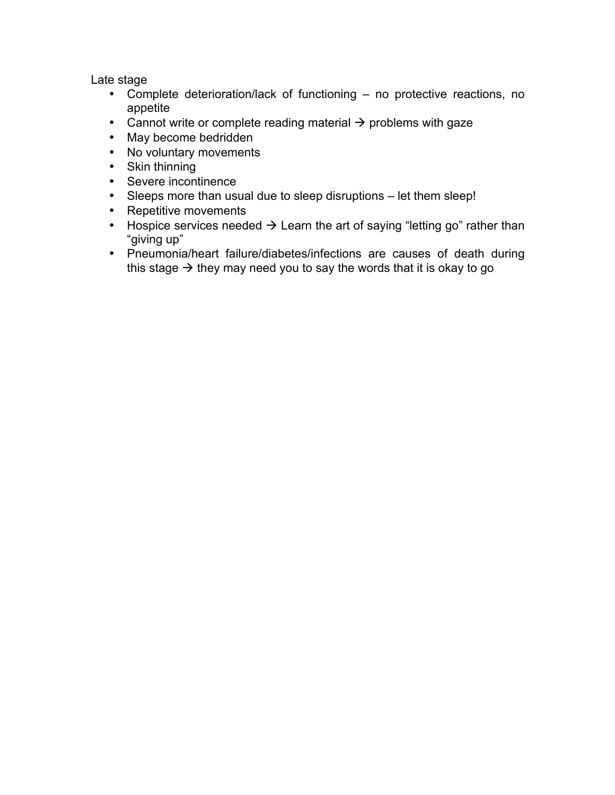Late stage

- Complete deterioration/lack of functioning no protective reactions, no appetite
- Cannot write or complete reading material  $\rightarrow$  problems with gaze
- May become bedridden
- No voluntary movements
- Skin thinning
- Severe incontinence
- Sleeps more than usual due to sleep disruptions let them sleep!
- Repetitive movements
- Hospice services needed  $\rightarrow$  Learn the art of saying "letting go" rather than "giving up"
- Pneumonia/heart failure/diabetes/infections are causes of death during this stage  $\rightarrow$  they may need you to say the words that it is okay to go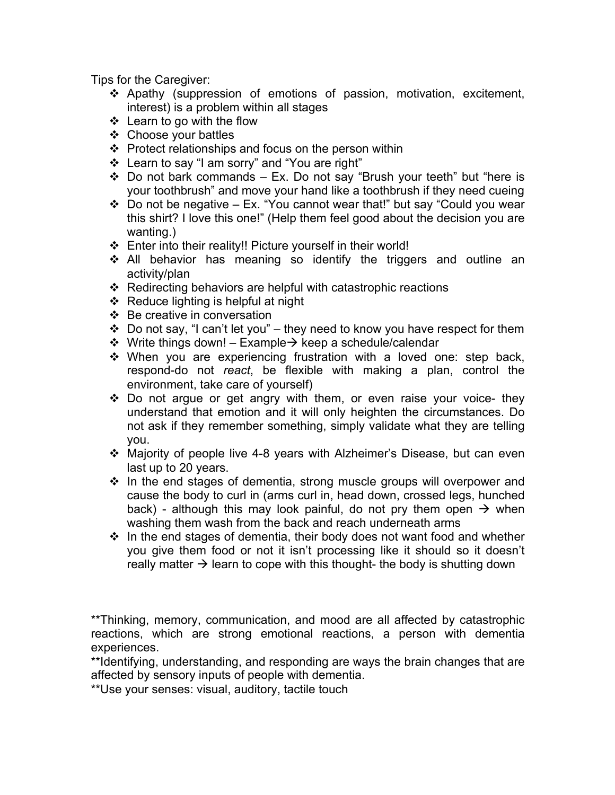Tips for the Caregiver:

- \* Apathy (suppression of emotions of passion, motivation, excitement, interest) is a problem within all stages
- $\div$  Learn to go with the flow
- ❖ Choose your battles
- $\div$  Protect relationships and focus on the person within
- v Learn to say "I am sorry" and "You are right"
- $\div$  Do not bark commands Ex. Do not say "Brush your teeth" but "here is your toothbrush" and move your hand like a toothbrush if they need cueing
- $\div$  Do not be negative Ex. "You cannot wear that!" but say "Could you wear this shirt? I love this one!" (Help them feel good about the decision you are wanting.)
- $\div$  Enter into their reality!! Picture yourself in their world!
- $\div$  All behavior has meaning so identify the triggers and outline an activity/plan
- $\div$  Redirecting behaviors are helpful with catastrophic reactions
- $\div$  Reduce lighting is helpful at night
- $\div$  Be creative in conversation
- $\cdot$  Do not say, "I can't let you" they need to know you have respect for them
- $\div$  Write things down! Example $\rightarrow$  keep a schedule/calendar
- $\cdot$  When you are experiencing frustration with a loved one: step back, respond-do not *react*, be flexible with making a plan, control the environment, take care of yourself)
- $\cdot$  Do not argue or get angry with them, or even raise your voice- they understand that emotion and it will only heighten the circumstances. Do not ask if they remember something, simply validate what they are telling you.
- $\cdot$  Majority of people live 4-8 years with Alzheimer's Disease, but can even last up to 20 years.
- $\cdot$  In the end stages of dementia, strong muscle groups will overpower and cause the body to curl in (arms curl in, head down, crossed legs, hunched back) - although this may look painful, do not pry them open  $\rightarrow$  when washing them wash from the back and reach underneath arms
- $\cdot \cdot$  In the end stages of dementia, their body does not want food and whether you give them food or not it isn't processing like it should so it doesn't really matter  $\rightarrow$  learn to cope with this thought- the body is shutting down

\*\*Thinking, memory, communication, and mood are all affected by catastrophic reactions, which are strong emotional reactions, a person with dementia experiences.

\*\*Identifying, understanding, and responding are ways the brain changes that are affected by sensory inputs of people with dementia.

\*\*Use your senses: visual, auditory, tactile touch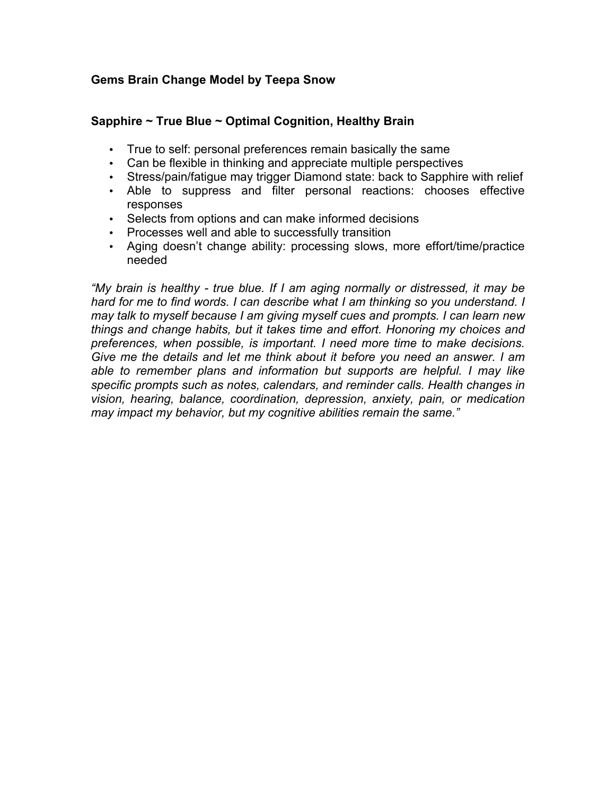## **Gems Brain Change Model by Teepa Snow**

#### **Sapphire ~ True Blue ~ Optimal Cognition, Healthy Brain**

- True to self: personal preferences remain basically the same
- Can be flexible in thinking and appreciate multiple perspectives
- Stress/pain/fatigue may trigger Diamond state: back to Sapphire with relief
- Able to suppress and filter personal reactions: chooses effective responses
- Selects from options and can make informed decisions
- Processes well and able to successfully transition
- Aging doesn't change ability: processing slows, more effort/time/practice needed

*"My brain is healthy - true blue. If I am aging normally or distressed, it may be hard for me to find words. I can describe what I am thinking so you understand. I may talk to myself because I am giving myself cues and prompts. I can learn new things and change habits, but it takes time and effort. Honoring my choices and preferences, when possible, is important. I need more time to make decisions. Give me the details and let me think about it before you need an answer. I am able to remember plans and information but supports are helpful. I may like specific prompts such as notes, calendars, and reminder calls. Health changes in vision, hearing, balance, coordination, depression, anxiety, pain, or medication may impact my behavior, but my cognitive abilities remain the same."*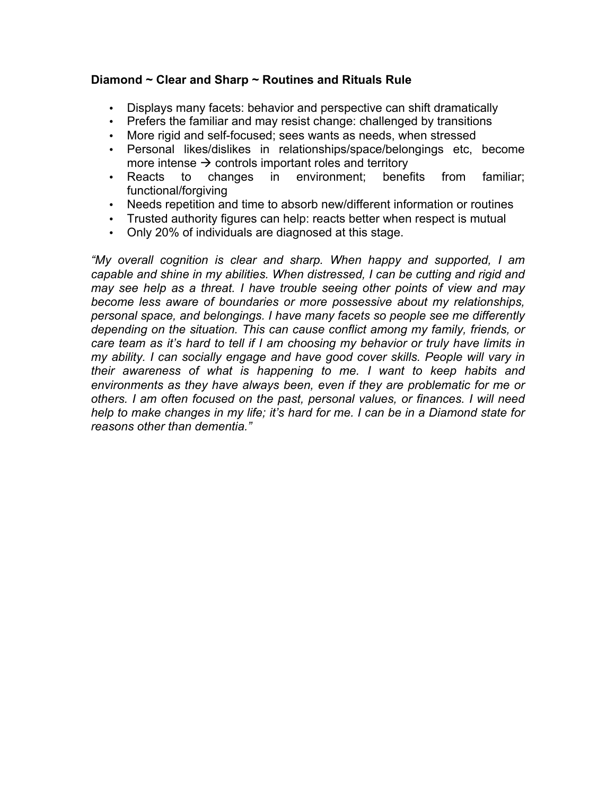## **Diamond ~ Clear and Sharp ~ Routines and Rituals Rule**

- Displays many facets: behavior and perspective can shift dramatically
- Prefers the familiar and may resist change: challenged by transitions
- More rigid and self-focused; sees wants as needs, when stressed
- Personal likes/dislikes in relationships/space/belongings etc, become more intense  $\rightarrow$  controls important roles and territory
- Reacts to changes in environment; benefits from familiar; functional/forgiving
- Needs repetition and time to absorb new/different information or routines
- Trusted authority figures can help: reacts better when respect is mutual
- Only 20% of individuals are diagnosed at this stage.

*"My overall cognition is clear and sharp. When happy and supported, I am capable and shine in my abilities. When distressed, I can be cutting and rigid and may see help as a threat. I have trouble seeing other points of view and may become less aware of boundaries or more possessive about my relationships, personal space, and belongings. I have many facets so people see me differently depending on the situation. This can cause conflict among my family, friends, or care team as it's hard to tell if I am choosing my behavior or truly have limits in my ability. I can socially engage and have good cover skills. People will vary in their awareness of what is happening to me. I want to keep habits and environments as they have always been, even if they are problematic for me or others. I am often focused on the past, personal values, or finances. I will need help to make changes in my life; it's hard for me. I can be in a Diamond state for reasons other than dementia."*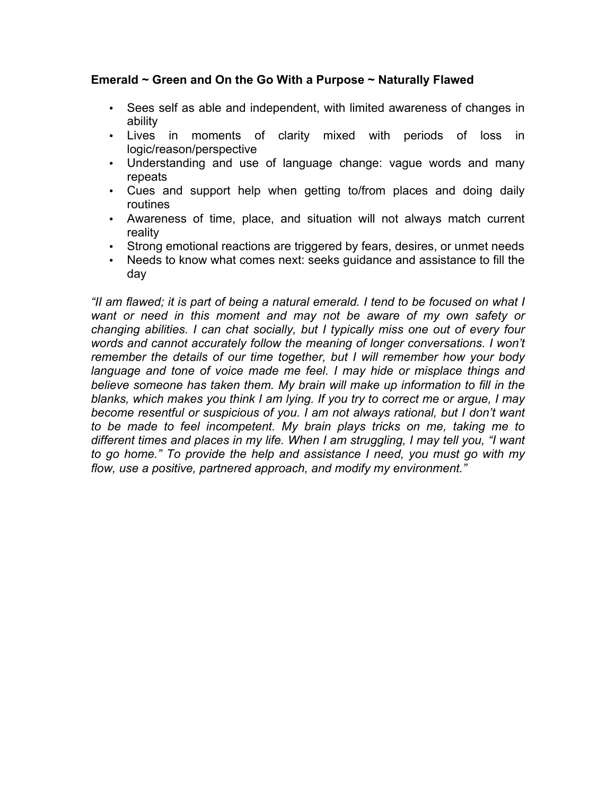#### **Emerald ~ Green and On the Go With a Purpose ~ Naturally Flawed**

- Sees self as able and independent, with limited awareness of changes in ability
- Lives in moments of clarity mixed with periods of loss in logic/reason/perspective
- Understanding and use of language change: vague words and many repeats
- Cues and support help when getting to/from places and doing daily routines
- Awareness of time, place, and situation will not always match current reality
- Strong emotional reactions are triggered by fears, desires, or unmet needs
- Needs to know what comes next: seeks guidance and assistance to fill the day

*"II am flawed; it is part of being a natural emerald. I tend to be focused on what I want or need in this moment and may not be aware of my own safety or changing abilities. I can chat socially, but I typically miss one out of every four words and cannot accurately follow the meaning of longer conversations. I won't remember the details of our time together, but I will remember how your body language and tone of voice made me feel. I may hide or misplace things and believe someone has taken them. My brain will make up information to fill in the blanks, which makes you think I am lying. If you try to correct me or argue, I may become resentful or suspicious of you. I am not always rational, but I don't want to be made to feel incompetent. My brain plays tricks on me, taking me to different times and places in my life. When I am struggling, I may tell you, "I want to go home." To provide the help and assistance I need, you must go with my flow, use a positive, partnered approach, and modify my environment."*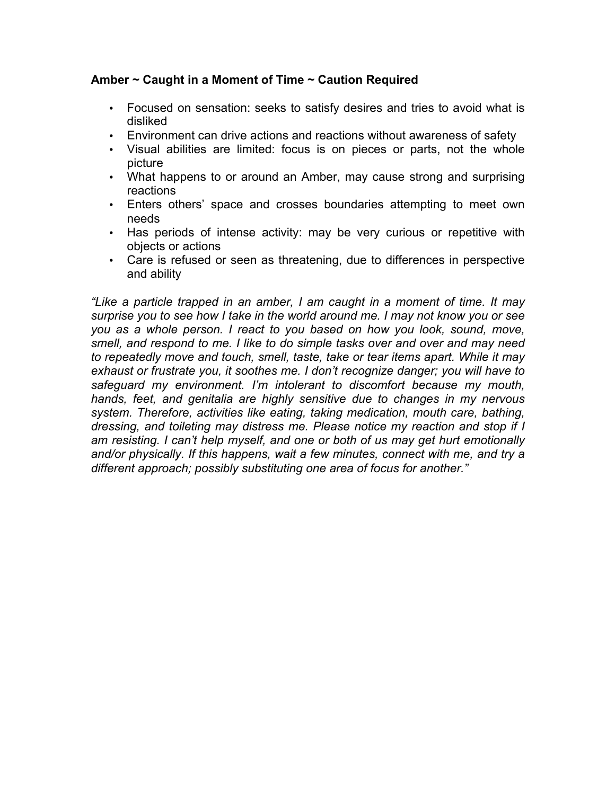#### **Amber ~ Caught in a Moment of Time ~ Caution Required**

- Focused on sensation: seeks to satisfy desires and tries to avoid what is disliked
- Environment can drive actions and reactions without awareness of safety
- Visual abilities are limited: focus is on pieces or parts, not the whole picture
- What happens to or around an Amber, may cause strong and surprising reactions
- Enters others' space and crosses boundaries attempting to meet own needs
- Has periods of intense activity: may be very curious or repetitive with objects or actions
- Care is refused or seen as threatening, due to differences in perspective and ability

*"Like a particle trapped in an amber, I am caught in a moment of time. It may surprise you to see how I take in the world around me. I may not know you or see you as a whole person. I react to you based on how you look, sound, move, smell, and respond to me. I like to do simple tasks over and over and may need to repeatedly move and touch, smell, taste, take or tear items apart. While it may exhaust or frustrate you, it soothes me. I don't recognize danger; you will have to safeguard my environment. I'm intolerant to discomfort because my mouth, hands, feet, and genitalia are highly sensitive due to changes in my nervous system. Therefore, activities like eating, taking medication, mouth care, bathing, dressing, and toileting may distress me. Please notice my reaction and stop if I am resisting. I can't help myself, and one or both of us may get hurt emotionally*  and/or physically. If this happens, wait a few minutes, connect with me, and try a *different approach; possibly substituting one area of focus for another."*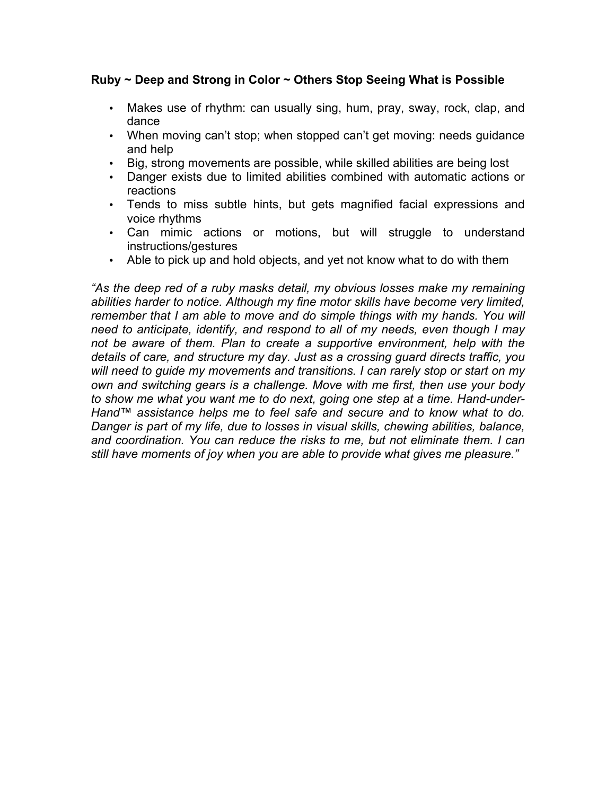#### **Ruby ~ Deep and Strong in Color ~ Others Stop Seeing What is Possible**

- Makes use of rhythm: can usually sing, hum, pray, sway, rock, clap, and dance
- When moving can't stop; when stopped can't get moving: needs guidance and help
- Big, strong movements are possible, while skilled abilities are being lost
- Danger exists due to limited abilities combined with automatic actions or reactions
- Tends to miss subtle hints, but gets magnified facial expressions and voice rhythms
- Can mimic actions or motions, but will struggle to understand instructions/gestures
- Able to pick up and hold objects, and yet not know what to do with them

*"As the deep red of a ruby masks detail, my obvious losses make my remaining abilities harder to notice. Although my fine motor skills have become very limited, remember that I am able to move and do simple things with my hands. You will need to anticipate, identify, and respond to all of my needs, even though I may not be aware of them. Plan to create a supportive environment, help with the details of care, and structure my day. Just as a crossing guard directs traffic, you will need to guide my movements and transitions. I can rarely stop or start on my own and switching gears is a challenge. Move with me first, then use your body to show me what you want me to do next, going one step at a time. Hand-under-Hand™ assistance helps me to feel safe and secure and to know what to do. Danger is part of my life, due to losses in visual skills, chewing abilities, balance, and coordination. You can reduce the risks to me, but not eliminate them. I can still have moments of joy when you are able to provide what gives me pleasure."*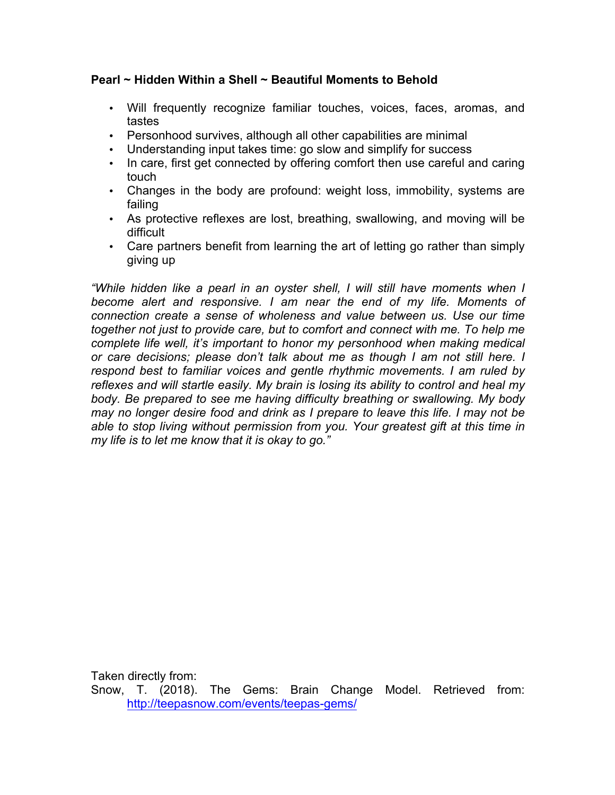## **Pearl ~ Hidden Within a Shell ~ Beautiful Moments to Behold**

- Will frequently recognize familiar touches, voices, faces, aromas, and tastes
- Personhood survives, although all other capabilities are minimal
- Understanding input takes time: go slow and simplify for success
- In care, first get connected by offering comfort then use careful and caring touch
- Changes in the body are profound: weight loss, immobility, systems are failing
- As protective reflexes are lost, breathing, swallowing, and moving will be difficult
- Care partners benefit from learning the art of letting go rather than simply giving up

*"While hidden like a pearl in an oyster shell, I will still have moments when I become alert and responsive. I am near the end of my life. Moments of connection create a sense of wholeness and value between us. Use our time together not just to provide care, but to comfort and connect with me. To help me complete life well, it's important to honor my personhood when making medical or care decisions; please don't talk about me as though I am not still here. I respond best to familiar voices and gentle rhythmic movements. I am ruled by reflexes and will startle easily. My brain is losing its ability to control and heal my body. Be prepared to see me having difficulty breathing or swallowing. My body may no longer desire food and drink as I prepare to leave this life. I may not be able to stop living without permission from you. Your greatest gift at this time in my life is to let me know that it is okay to go."* 

Taken directly from:

Snow, T. (2018). The Gems: Brain Change Model. Retrieved from: http://teepasnow.com/events/teepas-gems/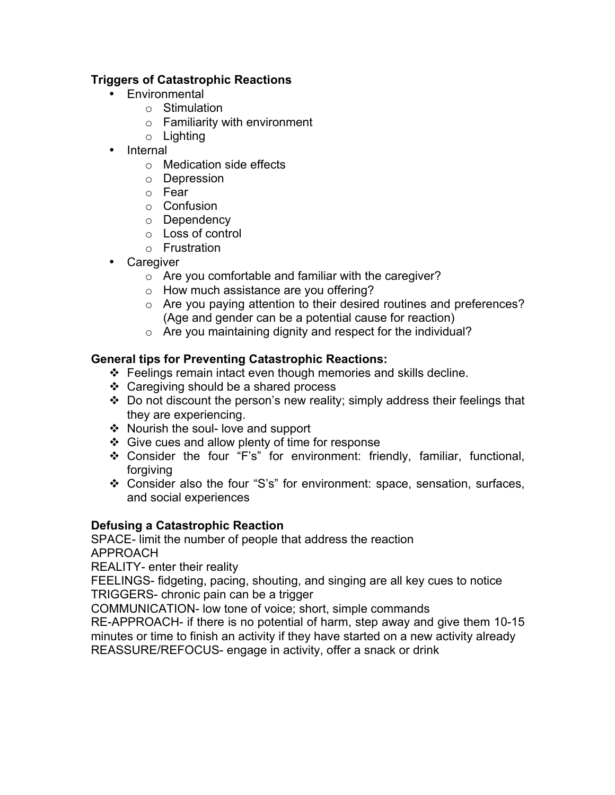## **Triggers of Catastrophic Reactions**

- Environmental
	- o Stimulation
	- o Familiarity with environment
	- o Lighting
- Internal
	- o Medication side effects
	- o Depression
	- o Fear
	- o Confusion
	- o Dependency
	- o Loss of control
	- o Frustration
- Caregiver
	- o Are you comfortable and familiar with the caregiver?
	- o How much assistance are you offering?
	- o Are you paying attention to their desired routines and preferences? (Age and gender can be a potential cause for reaction)
	- o Are you maintaining dignity and respect for the individual?

## **General tips for Preventing Catastrophic Reactions:**

- $\div$  Feelings remain intact even though memories and skills decline.
- $\div$  Caregiving should be a shared process
- $\cdot$  Do not discount the person's new reality; simply address their feelings that they are experiencing.
- ◆ Nourish the soul- love and support
- $\div$  Give cues and allow plenty of time for response
- v Consider the four "F's" for environment: friendly, familiar, functional, forgiving
- \* Consider also the four "S's" for environment: space, sensation, surfaces, and social experiences

## **Defusing a Catastrophic Reaction**

SPACE- limit the number of people that address the reaction APPROACH

REALITY- enter their reality

FEELINGS- fidgeting, pacing, shouting, and singing are all key cues to notice TRIGGERS- chronic pain can be a trigger

COMMUNICATION- low tone of voice; short, simple commands

RE-APPROACH- if there is no potential of harm, step away and give them 10-15 minutes or time to finish an activity if they have started on a new activity already REASSURE/REFOCUS- engage in activity, offer a snack or drink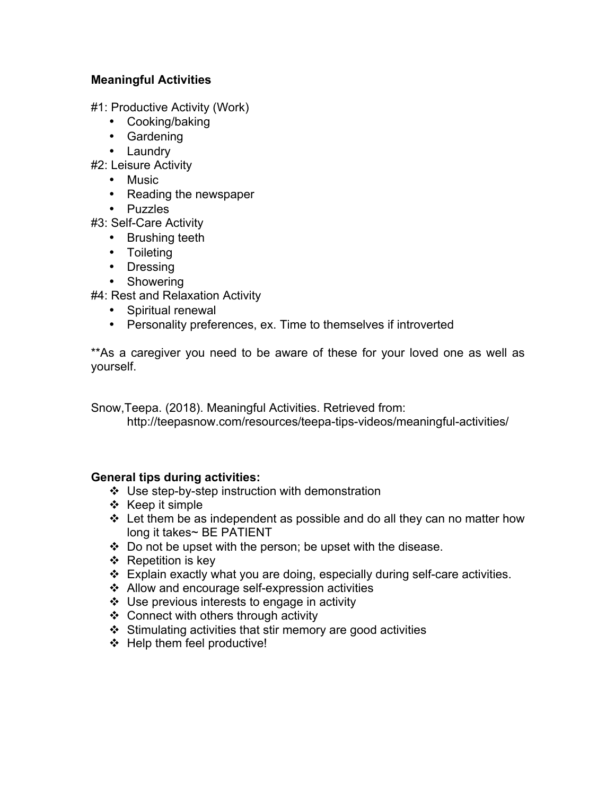## **Meaningful Activities**

#1: Productive Activity (Work)

- Cooking/baking
- Gardening
- Laundry

#2: Leisure Activity

- Music
- Reading the newspaper
- Puzzles

#3: Self-Care Activity

- Brushing teeth
- Toileting
- Dressing
- Showering

#4: Rest and Relaxation Activity

- Spiritual renewal
- Personality preferences, ex. Time to themselves if introverted

\*\*As a caregiver you need to be aware of these for your loved one as well as yourself.

Snow,Teepa. (2018). Meaningful Activities. Retrieved from:

http://teepasnow.com/resources/teepa-tips-videos/meaningful-activities/

#### **General tips during activities:**

- $\cdot$  Use step-by-step instruction with demonstration
- $\div$  Keep it simple
- $\div$  Let them be as independent as possible and do all they can no matter how long it takes~ BE PATIENT
- $\div$  Do not be upset with the person; be upset with the disease.
- $\div$  Repetition is key
- $\div$  Explain exactly what you are doing, especially during self-care activities.
- $\div$  Allow and encourage self-expression activities
- $\div$  Use previous interests to engage in activity
- $\div$  Connect with others through activity
- $\div$  Stimulating activities that stir memory are good activities
- $\div$  Help them feel productive!